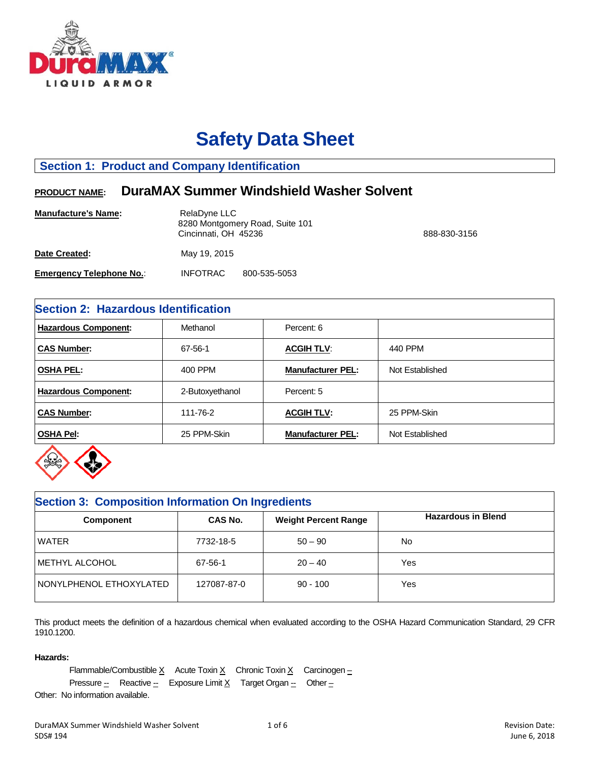

# **Safety Data Sheet**

# **Section 1: Product and Company Identification**

# **PRODUCT NAME: DuraMAX Summer Windshield Washer Solvent**

| <b>Manufacture's Name:</b>      | RelaDyne LLC<br>8280 Montgomery Road, Suite 101<br>Cincinnati, OH 45236 | 888-830-3156 |
|---------------------------------|-------------------------------------------------------------------------|--------------|
| Date Created:                   | May 19, 2015                                                            |              |
| <b>Emergency Telephone No.:</b> | <b>INFOTRAC</b><br>800-535-5053                                         |              |

# **Section 2: Hazardous Identification**

| <b>Hazardous Component:</b> | Methanol        | Percent: 6               |                 |  |  |
|-----------------------------|-----------------|--------------------------|-----------------|--|--|
| <b>CAS Number:</b>          | 67-56-1         | <b>ACGIH TLV:</b>        | 440 PPM         |  |  |
| <b>OSHA PEL:</b>            | 400 PPM         | <b>Manufacturer PEL:</b> | Not Established |  |  |
| <b>Hazardous Component:</b> | 2-Butoxyethanol | Percent: 5               |                 |  |  |
| <b>CAS Number:</b>          | 111-76-2        | <b>ACGIH TLV:</b>        | 25 PPM-Skin     |  |  |
| <b>OSHA Pel:</b>            | 25 PPM-Skin     | <b>Manufacturer PEL:</b> | Not Established |  |  |



# **Section 3: Composition Information On Ingredients Component CAS No.** Weight Percent Range **Hazardous in Blend** WATER 7732-18-5 50 – 90 No METHYL ALCOHOL 67-56-1 20 – 40 Yes NONYLPHENOL ETHOXYLATED | 127087-87-0 | 90 - 100 | Yes

This product meets the definition of a hazardous chemical when evaluated according to the OSHA Hazard Communication Standard, 29 CFR 1910.1200.

## **Hazards:**

Flammable/Combustible  $X$  Acute Toxin  $X$  Chronic Toxin  $X$  Carcinogen – Pressure  $\frac{1}{2}$  Reactive  $\frac{1}{2}$  Exposure Limit X Target Organ  $\frac{1}{2}$  Other  $\frac{1}{2}$ 

Other: No information available.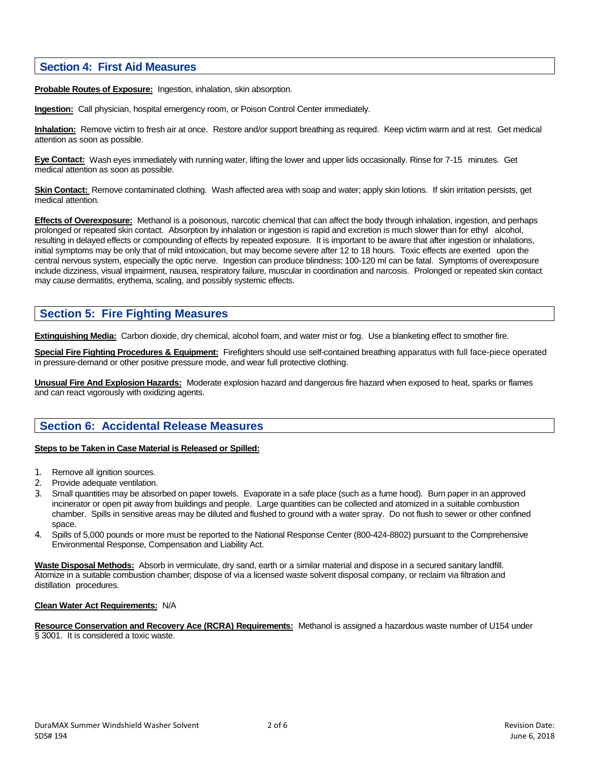## **Section 4: First Aid Measures**

**Probable Routes of Exposure:** Ingestion, inhalation, skin absorption.

**Ingestion:** Call physician, hospital emergency room, or Poison Control Center immediately.

**Inhalation:** Remove victim to fresh air at once. Restore and/or support breathing as required. Keep victim warm and at rest. Get medical attention as soon as possible.

**Eye Contact:** Wash eyes immediately with running water, lifting the lower and upper lids occasionally. Rinse for 7-15 minutes. Get medical attention as soon as possible.

**Skin Contact:** Remove contaminated clothing. Wash affected area with soap and water; apply skin lotions. If skin irritation persists, get medical attention.

**Effects of Overexposure:** Methanol is a poisonous, narcotic chemical that can affect the body through inhalation, ingestion, and perhaps prolonged or repeated skin contact. Absorption by inhalation or ingestion is rapid and excretion is much slower than for ethyl alcohol, resulting in delayed effects or compounding of effects by repeated exposure. It is important to be aware that after ingestion or inhalations, initial symptoms may be only that of mild intoxication, but may become severe after 12 to 18 hours. Toxic effects are exerted upon the central nervous system, especially the optic nerve. Ingestion can produce blindness; 100-120 ml can be fatal. Symptoms of overexposure include dizziness, visual impairment, nausea, respiratory failure, muscular in coordination and narcosis. Prolonged or repeated skin contact may cause dermatitis, erythema, scaling, and possibly systemic effects.

# **Section 5: Fire Fighting Measures**

**Extinguishing Media:** Carbon dioxide, dry chemical, alcohol foam, and water mist or fog. Use a blanketing effect to smother fire.

**Special Fire Fighting Procedures & Equipment:** Firefighters should use self-contained breathing apparatus with full face-piece operated in pressure-demand or other positive pressure mode, and wear full protective clothing.

**Unusual Fire And Explosion Hazards:** Moderate explosion hazard and dangerous fire hazard when exposed to heat, sparks or flames and can react vigorously with oxidizing agents.

# **Section 6: Accidental Release Measures**

### **Steps to be Taken in Case Material is Released or Spilled:**

- 1. Remove all ignition sources.
- 2. Provide adequate ventilation.
- 3. Small quantities may be absorbed on paper towels. Evaporate in a safe place (such as a fume hood). Burn paper in an approved incinerator or open pit away from buildings and people. Large quantities can be collected and atomized in a suitable combustion chamber. Spills in sensitive areas may be diluted and flushed to ground with a water spray. Do not flush to sewer or other confined space.
- 4. Spills of 5,000 pounds or more must be reported to the National Response Center (800-424-8802) pursuant to the Comprehensive Environmental Response, Compensation and Liability Act.

**Waste Disposal Methods:** Absorb in vermiculate, dry sand, earth or a similar material and dispose in a secured sanitary landfill. Atomize in a suitable combustion chamber; dispose of via a licensed waste solvent disposal company, or reclaim via filtration and distillation procedures.

### **Clean Water Act Requirements:** N/A

**Resource Conservation and Recovery Ace (RCRA) Requirements:** Methanol is assigned a hazardous waste number of U154 under § 3001. It is considered a toxic waste.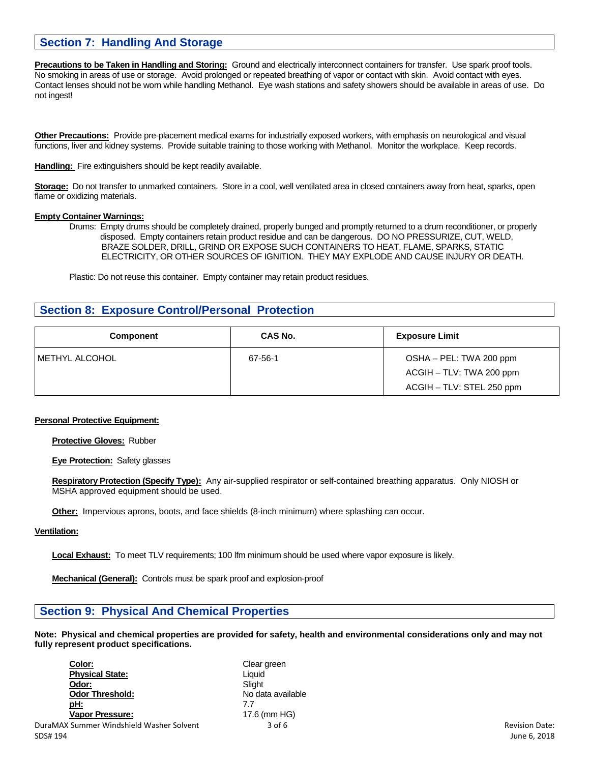# **Section 7: Handling And Storage**

**Precautions to be Taken in Handling and Storing:** Ground and electrically interconnect containers for transfer. Use spark proof tools. No smoking in areas of use or storage. Avoid prolonged or repeated breathing of vapor or contact with skin. Avoid contact with eyes. Contact lenses should not be worn while handling Methanol. Eye wash stations and safety showers should be available in areas of use. Do not ingest!

**Other Precautions:** Provide pre-placement medical exams for industrially exposed workers, with emphasis on neurological and visual functions, liver and kidney systems. Provide suitable training to those working with Methanol. Monitor the workplace. Keep records.

**Handling:** Fire extinguishers should be kept readily available.

**Storage:** Do not transfer to unmarked containers. Store in a cool, well ventilated area in closed containers away from heat, sparks, open flame or oxidizing materials.

#### **Empty Container Warnings:**

Drums: Empty drums should be completely drained, properly bunged and promptly returned to a drum reconditioner, or properly disposed. Empty containers retain product residue and can be dangerous. DO NO PRESSURIZE, CUT, WELD, BRAZE SOLDER, DRILL, GRIND OR EXPOSE SUCH CONTAINERS TO HEAT, FLAME, SPARKS, STATIC ELECTRICITY, OR OTHER SOURCES OF IGNITION. THEY MAY EXPLODE AND CAUSE INJURY OR DEATH.

Plastic: Do not reuse this container. Empty container may retain product residues.

## **Section 8: Exposure Control/Personal Protection**

| <b>Component</b> | CAS No. | <b>Exposure Limit</b>                               |
|------------------|---------|-----------------------------------------------------|
| I METHYL ALCOHOL | 67-56-1 | OSHA - PEL: TWA 200 ppm<br>ACGIH - TLV: TWA 200 ppm |
|                  |         | ACGIH - TLV: STEL 250 ppm                           |

### **Personal Protective Equipment:**

**Protective Gloves:** Rubber

**Eye Protection:** Safety glasses

**Respiratory Protection (Specify Type):** Any air-supplied respirator or self-contained breathing apparatus. Only NIOSH or MSHA approved equipment should be used.

**Other:** Impervious aprons, boots, and face shields (8-inch minimum) where splashing can occur.

### **Ventilation:**

**Local Exhaust:** To meet TLV requirements; 100 lfm minimum should be used where vapor exposure is likely.

**Mechanical (General):** Controls must be spark proof and explosion-proof

## **Section 9: Physical And Chemical Properties**

**Note: Physical and chemical properties are provided for safety, health and environmental considerations only and may not fully represent product specifications.** 

| Color:                                   | Clear green       |                       |
|------------------------------------------|-------------------|-----------------------|
| <b>Physical State:</b>                   | Liauid            |                       |
| Odor:                                    | Slight            |                       |
| <b>Odor Threshold:</b>                   | No data available |                       |
| <u>pH:</u>                               | 7.7               |                       |
| <b>Vapor Pressure:</b>                   | 17.6 (mm HG)      |                       |
| DuraMAX Summer Windshield Washer Solvent | $3$ of $6$        | <b>Revision Date:</b> |
| SDS# 194                                 |                   | June 6, 2018          |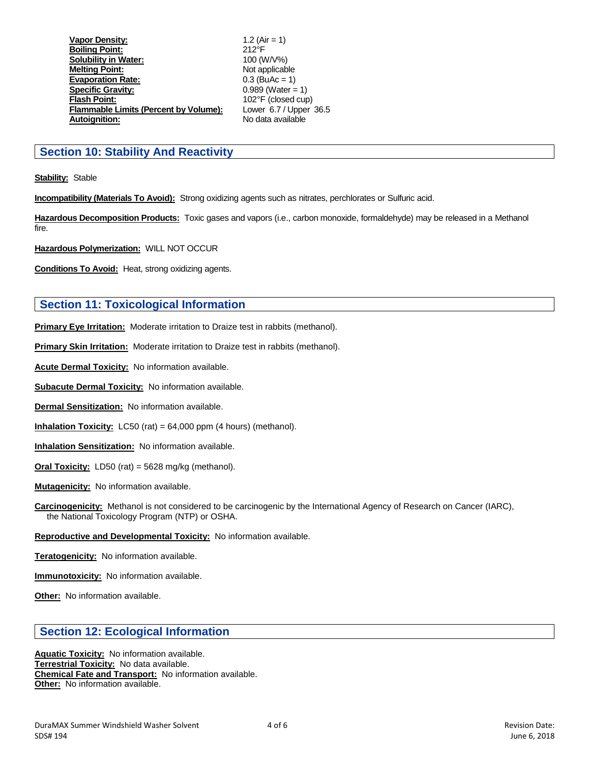**Vapor Density:** 1.2 (Air = 1) **Boiling Point:** 212°F **Solubility in Water: Melting Point:**<br> **Evaporation Rate:** Capacity 2003 (BuAc = 1) **Evaporation Rate:** 0.3 (BuAc = 1)<br> **Specific Gravity:** 0.989 (Water = 1) **Specific Gravity:**<br>Flash Point: **Flammable Limits (Percent by Volume): Autoignition:** No data available

102°F (closed cup)<br>Lower 6.7 / Upper 36.5

## **Section 10: Stability And Reactivity**

**Stability:** Stable

**Incompatibility (Materials To Avoid):** Strong oxidizing agents such as nitrates, perchlorates or Sulfuric acid.

**Hazardous Decomposition Products:** Toxic gases and vapors (i.e., carbon monoxide, formaldehyde) may be released in a Methanol fire.

**Hazardous Polymerization:** WILL NOT OCCUR

**Conditions To Avoid:** Heat, strong oxidizing agents.

## **Section 11: Toxicological Information**

**Primary Eye Irritation:** Moderate irritation to Draize test in rabbits (methanol).

**Primary Skin Irritation:** Moderate irritation to Draize test in rabbits (methanol).

**Acute Dermal Toxicity:** No information available.

**Subacute Dermal Toxicity:** No information available.

**Dermal Sensitization:** No information available.

**Inhalation Toxicity:** LC50 (rat) = 64,000 ppm (4 hours) (methanol).

**Inhalation Sensitization:** No information available.

**Oral Toxicity:** LD50 (rat) = 5628 mg/kg (methanol).

**Mutagenicity:** No information available.

**Carcinogenicity:** Methanol is not considered to be carcinogenic by the International Agency of Research on Cancer (IARC), the National Toxicology Program (NTP) or OSHA.

### **Reproductive and Developmental Toxicity:** No information available.

**Teratogenicity:** No information available.

**Immunotoxicity:** No information available.

**Other:** No information available.

## **Section 12: Ecological Information**

**Aquatic Toxicity:** No information available. **Terrestrial Toxicity:** No data available. **Chemical Fate and Transport:** No information available. **Other:** No information available.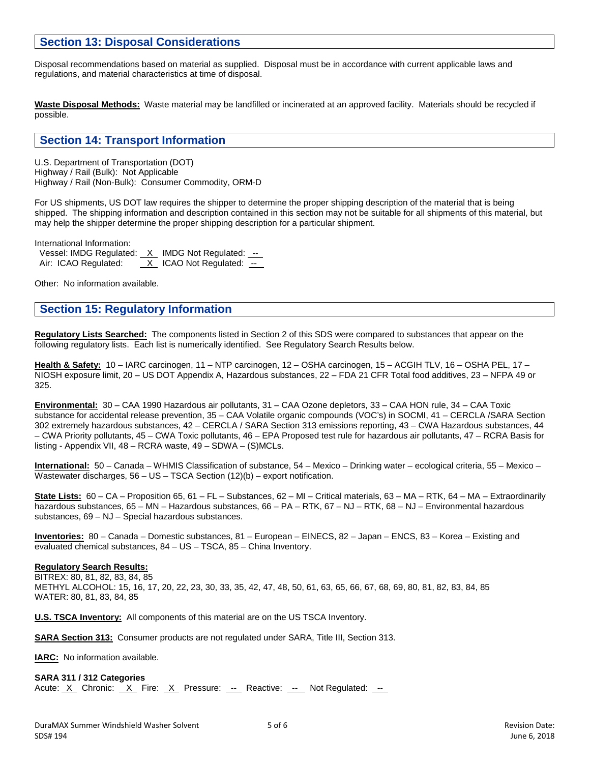## **Section 13: Disposal Considerations**

Disposal recommendations based on material as supplied. Disposal must be in accordance with current applicable laws and regulations, and material characteristics at time of disposal.

**Waste Disposal Methods:** Waste material may be landfilled or incinerated at an approved facility. Materials should be recycled if possible.

## **Section 14: Transport Information**

U.S. Department of Transportation (DOT) Highway / Rail (Bulk): Not Applicable Highway / Rail (Non-Bulk): Consumer Commodity, ORM-D

For US shipments, US DOT law requires the shipper to determine the proper shipping description of the material that is being shipped. The shipping information and description contained in this section may not be suitable for all shipments of this material, but may help the shipper determine the proper shipping description for a particular shipment.

International Information:

Vessel: IMDG Regulated:  $X$  IMDG Not Regulated:  $-$ Air: ICAO Regulated:  $X$  ICAO Not Regulated:  $-$ 

Other: No information available.

## **Section 15: Regulatory Information**

**Regulatory Lists Searched:** The components listed in Section 2 of this SDS were compared to substances that appear on the following regulatory lists. Each list is numerically identified. See Regulatory Search Results below.

**Health & Safety:** 10 – IARC carcinogen, 11 – NTP carcinogen, 12 – OSHA carcinogen, 15 – ACGIH TLV, 16 – OSHA PEL, 17 – NIOSH exposure limit, 20 – US DOT Appendix A, Hazardous substances, 22 – FDA 21 CFR Total food additives, 23 – NFPA 49 or 325.

**Environmental:** 30 – CAA 1990 Hazardous air pollutants, 31 – CAA Ozone depletors, 33 – CAA HON rule, 34 – CAA Toxic substance for accidental release prevention, 35 – CAA Volatile organic compounds (VOC's) in SOCMI, 41 – CERCLA /SARA Section 302 extremely hazardous substances, 42 – CERCLA / SARA Section 313 emissions reporting, 43 – CWA Hazardous substances, 44 – CWA Priority pollutants, 45 – CWA Toxic pollutants, 46 – EPA Proposed test rule for hazardous air pollutants, 47 – RCRA Basis for listing - Appendix VII, 48 – RCRA waste, 49 – SDWA – (S)MCLs.

**International:** 50 – Canada – WHMIS Classification of substance, 54 – Mexico – Drinking water – ecological criteria, 55 – Mexico – Wastewater discharges, 56 – US – TSCA Section (12)(b) – export notification.

**State Lists:** 60 – CA – Proposition 65, 61 – FL – Substances, 62 – MI – Critical materials, 63 – MA – RTK, 64 – MA – Extraordinarily hazardous substances, 65 – MN – Hazardous substances, 66 – PA – RTK, 67 – NJ – RTK, 68 – NJ – Environmental hazardous substances, 69 – NJ – Special hazardous substances.

**Inventories:** 80 – Canada – Domestic substances, 81 – European – EINECS, 82 – Japan – ENCS, 83 – Korea – Existing and evaluated chemical substances, 84 – US – TSCA, 85 – China Inventory.

### **Regulatory Search Results:**

BITREX: 80, 81, 82, 83, 84, 85 METHYL ALCOHOL: 15, 16, 17, 20, 22, 23, 30, 33, 35, 42, 47, 48, 50, 61, 63, 65, 66, 67, 68, 69, 80, 81, 82, 83, 84, 85 WATER: 80, 81, 83, 84, 85

**U.S. TSCA Inventory:** All components of this material are on the US TSCA Inventory.

**SARA Section 313:** Consumer products are not regulated under SARA, Title III, Section 313.

**IARC:** No information available.

#### **SARA 311 / 312 Categories**

Acute: <u>X</u> Chronic: X Fire: X Pressure: -- Reactive: -- Not Regulated: --